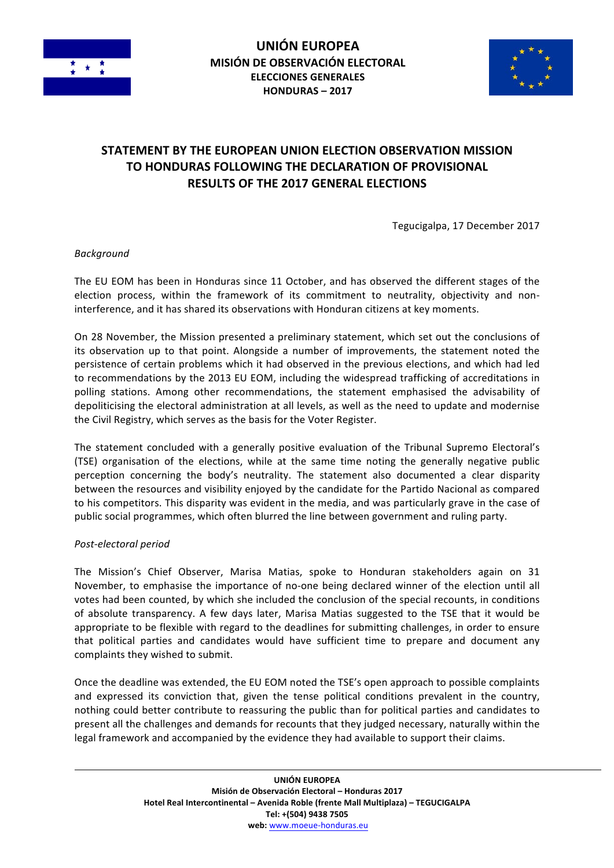



# **STATEMENT BY THE EUROPEAN UNION ELECTION OBSERVATION MISSION TO HONDURAS FOLLOWING THE DECLARATION OF PROVISIONAL RESULTS OF THE 2017 GENERAL ELECTIONS**

Tegucigalpa, 17 December 2017

*Background* 

The EU EOM has been in Honduras since 11 October, and has observed the different stages of the election process, within the framework of its commitment to neutrality, objectivity and noninterference, and it has shared its observations with Honduran citizens at key moments.

On 28 November, the Mission presented a preliminary statement, which set out the conclusions of its observation up to that point. Alongside a number of improvements, the statement noted the persistence of certain problems which it had observed in the previous elections, and which had led to recommendations by the 2013 EU EOM, including the widespread trafficking of accreditations in polling stations. Among other recommendations, the statement emphasised the advisability of depoliticising the electoral administration at all levels, as well as the need to update and modernise the Civil Registry, which serves as the basis for the Voter Register.

The statement concluded with a generally positive evaluation of the Tribunal Supremo Electoral's (TSE) organisation of the elections, while at the same time noting the generally negative public perception concerning the body's neutrality. The statement also documented a clear disparity between the resources and visibility enjoyed by the candidate for the Partido Nacional as compared to his competitors. This disparity was evident in the media, and was particularly grave in the case of public social programmes, which often blurred the line between government and ruling party.

#### *Post-electoral period*

The Mission's Chief Observer, Marisa Matias, spoke to Honduran stakeholders again on 31 November, to emphasise the importance of no-one being declared winner of the election until all votes had been counted, by which she included the conclusion of the special recounts, in conditions of absolute transparency. A few days later, Marisa Matias suggested to the TSE that it would be appropriate to be flexible with regard to the deadlines for submitting challenges, in order to ensure that political parties and candidates would have sufficient time to prepare and document any complaints they wished to submit.

Once the deadline was extended, the EU EOM noted the TSE's open approach to possible complaints and expressed its conviction that, given the tense political conditions prevalent in the country, nothing could better contribute to reassuring the public than for political parties and candidates to present all the challenges and demands for recounts that they judged necessary, naturally within the legal framework and accompanied by the evidence they had available to support their claims.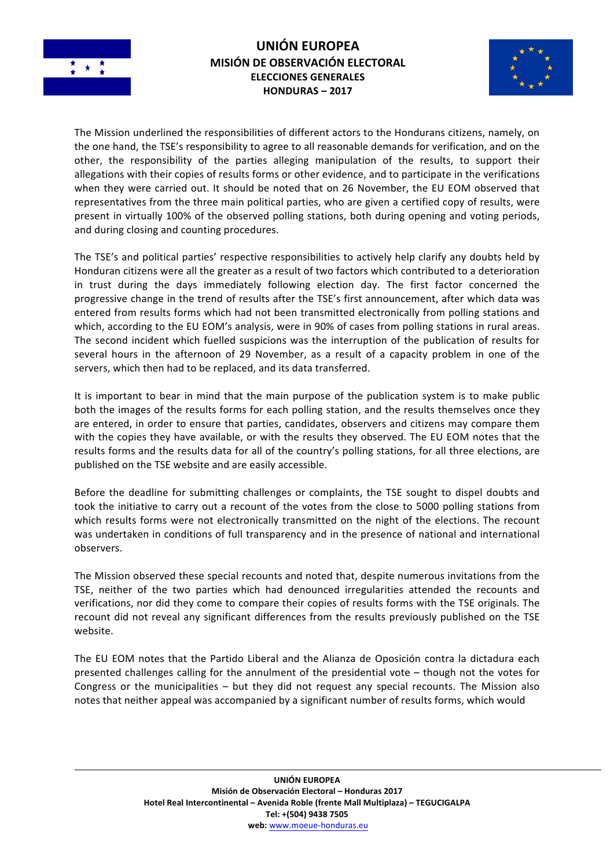

## **UNIÓN EUROPEA MISIÓN DE OBSERVACIÓN ELECTORAL ELECCIONES GENERALES HONDURAS – 2017**



The Mission underlined the responsibilities of different actors to the Hondurans citizens, namely, on the one hand, the TSE's responsibility to agree to all reasonable demands for verification, and on the other, the responsibility of the parties alleging manipulation of the results, to support their allegations with their copies of results forms or other evidence, and to participate in the verifications when they were carried out. It should be noted that on 26 November, the EU EOM observed that representatives from the three main political parties, who are given a certified copy of results, were present in virtually 100% of the observed polling stations, both during opening and voting periods, and during closing and counting procedures.

The TSE's and political parties' respective responsibilities to actively help clarify any doubts held by Honduran citizens were all the greater as a result of two factors which contributed to a deterioration in trust during the days immediately following election day. The first factor concerned the progressive change in the trend of results after the TSE's first announcement, after which data was entered from results forms which had not been transmitted electronically from polling stations and which, according to the EU EOM's analysis, were in 90% of cases from polling stations in rural areas. The second incident which fuelled suspicions was the interruption of the publication of results for several hours in the afternoon of 29 November, as a result of a capacity problem in one of the servers, which then had to be replaced, and its data transferred.

It is important to bear in mind that the main purpose of the publication system is to make public both the images of the results forms for each polling station, and the results themselves once they are entered, in order to ensure that parties, candidates, observers and citizens may compare them with the copies they have available, or with the results they observed. The EU EOM notes that the results forms and the results data for all of the country's polling stations, for all three elections, are published on the TSE website and are easily accessible.

Before the deadline for submitting challenges or complaints, the TSE sought to dispel doubts and took the initiative to carry out a recount of the votes from the close to 5000 polling stations from which results forms were not electronically transmitted on the night of the elections. The recount was undertaken in conditions of full transparency and in the presence of national and international observers.

The Mission observed these special recounts and noted that, despite numerous invitations from the TSE, neither of the two parties which had denounced irregularities attended the recounts and verifications, nor did they come to compare their copies of results forms with the TSE originals. The recount did not reveal any significant differences from the results previously published on the TSE website. 

The EU EOM notes that the Partido Liberal and the Alianza de Oposición contra la dictadura each presented challenges calling for the annulment of the presidential vote – though not the votes for Congress or the municipalities  $-$  but they did not request any special recounts. The Mission also notes that neither appeal was accompanied by a significant number of results forms, which would